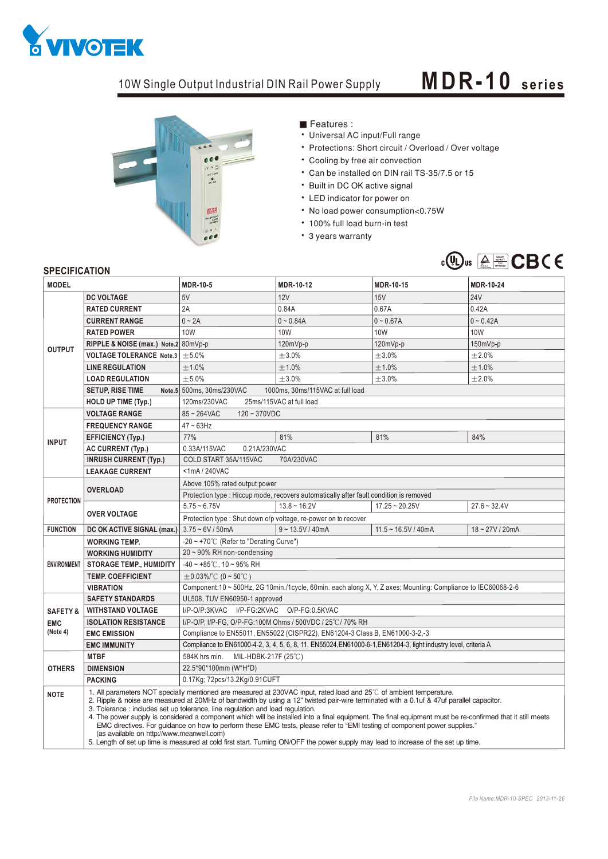

## 10W Single Output Industrial DIN Rail Power Supply **MDR - 10** series



Features:

- Universal AC input/Full range
- Protections: Short circuit / Overload / Over voltage
- Cooling by free air convection
- Can be installed on DIN rail TS-35/7.5 or 15
- Built in DC OK active signal
- LED indicator for power on
- No load power consumption<0.75W
- 100% full load burn-in test
- 3 years warranty



## **SPECIFICATION**

| <b>MODEL</b>                                  |                                                                                                                                                                                                                                                                                                                                                                                                                                                                                                                                                                                                                                                                                                                                                                                                                                  | <b>MDR-10-5</b>                                                                                                 | MDR-10-12          | MDR-10-15             | <b>MDR-10-24</b> |
|-----------------------------------------------|----------------------------------------------------------------------------------------------------------------------------------------------------------------------------------------------------------------------------------------------------------------------------------------------------------------------------------------------------------------------------------------------------------------------------------------------------------------------------------------------------------------------------------------------------------------------------------------------------------------------------------------------------------------------------------------------------------------------------------------------------------------------------------------------------------------------------------|-----------------------------------------------------------------------------------------------------------------|--------------------|-----------------------|------------------|
| <b>OUTPUT</b>                                 | <b>DC VOLTAGE</b>                                                                                                                                                                                                                                                                                                                                                                                                                                                                                                                                                                                                                                                                                                                                                                                                                | 5V                                                                                                              | 12V                | 15V                   | <b>24V</b>       |
|                                               | <b>RATED CURRENT</b>                                                                                                                                                                                                                                                                                                                                                                                                                                                                                                                                                                                                                                                                                                                                                                                                             | 2A                                                                                                              | 0.84A              | 0.67A                 | 0.42A            |
|                                               | <b>CURRENT RANGE</b>                                                                                                                                                                                                                                                                                                                                                                                                                                                                                                                                                                                                                                                                                                                                                                                                             | $0 \sim 2A$                                                                                                     | $0 - 0.84A$        | $0 - 0.67A$           | $0 - 0.42A$      |
|                                               | <b>RATED POWER</b>                                                                                                                                                                                                                                                                                                                                                                                                                                                                                                                                                                                                                                                                                                                                                                                                               | <b>10W</b>                                                                                                      | <b>10W</b>         | <b>10W</b>            | 10W              |
|                                               | RIPPLE & NOISE (max.) Note.2 80mVp-p                                                                                                                                                                                                                                                                                                                                                                                                                                                                                                                                                                                                                                                                                                                                                                                             |                                                                                                                 | 120mVp-p           | 120mVp-p              | $150mVp-p$       |
|                                               | VOLTAGE TOLERANCE Note.3 $\pm$ 5.0%                                                                                                                                                                                                                                                                                                                                                                                                                                                                                                                                                                                                                                                                                                                                                                                              |                                                                                                                 | $\pm 3.0\%$        | $\pm 3.0\%$           | ±2.0%            |
|                                               | <b>LINE REGULATION</b>                                                                                                                                                                                                                                                                                                                                                                                                                                                                                                                                                                                                                                                                                                                                                                                                           | ±1.0%                                                                                                           | ±1.0%              | ±1.0%                 | ±1.0%            |
|                                               | <b>LOAD REGULATION</b>                                                                                                                                                                                                                                                                                                                                                                                                                                                                                                                                                                                                                                                                                                                                                                                                           | ± 5.0%                                                                                                          | ±3.0%              | ±3.0%                 | ±2.0%            |
|                                               | <b>SETUP, RISE TIME</b>                                                                                                                                                                                                                                                                                                                                                                                                                                                                                                                                                                                                                                                                                                                                                                                                          | Note.5 500ms, 30ms/230VAC<br>1000ms, 30ms/115VAC at full load                                                   |                    |                       |                  |
|                                               | <b>HOLD UP TIME (Typ.)</b>                                                                                                                                                                                                                                                                                                                                                                                                                                                                                                                                                                                                                                                                                                                                                                                                       | 120ms/230VAC<br>25ms/115VAC at full load                                                                        |                    |                       |                  |
| <b>INPUT</b>                                  | <b>VOLTAGE RANGE</b>                                                                                                                                                                                                                                                                                                                                                                                                                                                                                                                                                                                                                                                                                                                                                                                                             | $85 - 264$ VAC<br>$120 - 370$ VDC                                                                               |                    |                       |                  |
|                                               | <b>FREQUENCY RANGE</b>                                                                                                                                                                                                                                                                                                                                                                                                                                                                                                                                                                                                                                                                                                                                                                                                           | $47 \sim 63$ Hz                                                                                                 |                    |                       |                  |
|                                               | <b>EFFICIENCY (Typ.)</b>                                                                                                                                                                                                                                                                                                                                                                                                                                                                                                                                                                                                                                                                                                                                                                                                         | 77%                                                                                                             | 81%                | 81%                   | 84%              |
|                                               | <b>AC CURRENT (Typ.)</b>                                                                                                                                                                                                                                                                                                                                                                                                                                                                                                                                                                                                                                                                                                                                                                                                         | 0.33A/115VAC<br>0.21A/230VAC                                                                                    |                    |                       |                  |
|                                               | <b>INRUSH CURRENT (Typ.)</b>                                                                                                                                                                                                                                                                                                                                                                                                                                                                                                                                                                                                                                                                                                                                                                                                     | COLD START 35A/115VAC<br>70A/230VAC                                                                             |                    |                       |                  |
|                                               | <b>LEAKAGE CURRENT</b>                                                                                                                                                                                                                                                                                                                                                                                                                                                                                                                                                                                                                                                                                                                                                                                                           | <1mA/240VAC                                                                                                     |                    |                       |                  |
| <b>PROTECTION</b>                             | <b>OVERLOAD</b>                                                                                                                                                                                                                                                                                                                                                                                                                                                                                                                                                                                                                                                                                                                                                                                                                  | Above 105% rated output power                                                                                   |                    |                       |                  |
|                                               |                                                                                                                                                                                                                                                                                                                                                                                                                                                                                                                                                                                                                                                                                                                                                                                                                                  | Protection type : Hiccup mode, recovers automatically after fault condition is removed                          |                    |                       |                  |
|                                               | <b>OVER VOLTAGE</b>                                                                                                                                                                                                                                                                                                                                                                                                                                                                                                                                                                                                                                                                                                                                                                                                              | $5.75 - 6.75V$                                                                                                  | $13.8 \sim 16.2V$  | $17.25 - 20.25V$      | $27.6 - 32.4V$   |
|                                               |                                                                                                                                                                                                                                                                                                                                                                                                                                                                                                                                                                                                                                                                                                                                                                                                                                  | Protection type : Shut down o/p voltage, re-power on to recover                                                 |                    |                       |                  |
| <b>FUNCTION</b>                               | DC OK ACTIVE SIGNAL (max.)                                                                                                                                                                                                                                                                                                                                                                                                                                                                                                                                                                                                                                                                                                                                                                                                       | $3.75 - 6V / 50mA$                                                                                              | $9 - 13.5V / 40mA$ | $11.5 - 16.5V / 40mA$ | 18~27V/20mA      |
| <b>ENVIRONMENT</b>                            | <b>WORKING TEMP.</b>                                                                                                                                                                                                                                                                                                                                                                                                                                                                                                                                                                                                                                                                                                                                                                                                             | -20 ~ +70°C (Refer to "Derating Curve")                                                                         |                    |                       |                  |
|                                               | <b>WORKING HUMIDITY</b>                                                                                                                                                                                                                                                                                                                                                                                                                                                                                                                                                                                                                                                                                                                                                                                                          | $20 \sim 90\%$ RH non-condensing                                                                                |                    |                       |                  |
|                                               | <b>STORAGE TEMP., HUMIDITY</b>                                                                                                                                                                                                                                                                                                                                                                                                                                                                                                                                                                                                                                                                                                                                                                                                   | $-40 \sim +85^{\circ}$ C, 10 ~ 95% RH                                                                           |                    |                       |                  |
|                                               | <b>TEMP. COEFFICIENT</b>                                                                                                                                                                                                                                                                                                                                                                                                                                                                                                                                                                                                                                                                                                                                                                                                         | $\pm$ 0.03%/°C (0 ~ 50°C)                                                                                       |                    |                       |                  |
|                                               | <b>VIBRATION</b>                                                                                                                                                                                                                                                                                                                                                                                                                                                                                                                                                                                                                                                                                                                                                                                                                 | Component:10 ~ 500Hz, 2G 10min./1cycle, 60min. each along X, Y, Z axes; Mounting: Compliance to IEC60068-2-6    |                    |                       |                  |
| <b>SAFETY &amp;</b><br><b>EMC</b><br>(Note 4) | <b>SAFETY STANDARDS</b>                                                                                                                                                                                                                                                                                                                                                                                                                                                                                                                                                                                                                                                                                                                                                                                                          | UL508, TUV EN60950-1 approved                                                                                   |                    |                       |                  |
|                                               | <b>WITHSTAND VOLTAGE</b>                                                                                                                                                                                                                                                                                                                                                                                                                                                                                                                                                                                                                                                                                                                                                                                                         | I/P-O/P:3KVAC I/P-FG:2KVAC O/P-FG:0.5KVAC                                                                       |                    |                       |                  |
|                                               | <b>ISOLATION RESISTANCE</b>                                                                                                                                                                                                                                                                                                                                                                                                                                                                                                                                                                                                                                                                                                                                                                                                      | I/P-O/P, I/P-FG, O/P-FG:100M Ohms / 500VDC / 25°C/70% RH                                                        |                    |                       |                  |
|                                               | <b>EMC EMISSION</b>                                                                                                                                                                                                                                                                                                                                                                                                                                                                                                                                                                                                                                                                                                                                                                                                              | Compliance to EN55011, EN55022 (CISPR22), EN61204-3 Class B, EN61000-3-2,-3                                     |                    |                       |                  |
| <b>OTHERS</b>                                 | <b>EMC IMMUNITY</b>                                                                                                                                                                                                                                                                                                                                                                                                                                                                                                                                                                                                                                                                                                                                                                                                              | Compliance to EN61000-4-2, 3, 4, 5, 6, 8, 11, EN55024, EN61000-6-1, EN61204-3, light industry level, criteria A |                    |                       |                  |
|                                               | <b>MTBF</b>                                                                                                                                                                                                                                                                                                                                                                                                                                                                                                                                                                                                                                                                                                                                                                                                                      | 584K hrs min. MIL-HDBK-217F (25°C)<br>22.5*90*100mm (W*H*D)                                                     |                    |                       |                  |
|                                               | <b>DIMENSION</b>                                                                                                                                                                                                                                                                                                                                                                                                                                                                                                                                                                                                                                                                                                                                                                                                                 |                                                                                                                 |                    |                       |                  |
|                                               | <b>PACKING</b>                                                                                                                                                                                                                                                                                                                                                                                                                                                                                                                                                                                                                                                                                                                                                                                                                   | 0.17Kg; 72pcs/13.2Kg/0.91CUFT                                                                                   |                    |                       |                  |
| <b>NOTE</b>                                   | 1. All parameters NOT specially mentioned are measured at 230VAC input, rated load and 25°C of ambient temperature.<br>2. Ripple & noise are measured at 20MHz of bandwidth by using a 12" twisted pair-wire terminated with a 0.1uf & 47uf parallel capacitor.<br>3. Tolerance : includes set up tolerance, line regulation and load regulation.<br>4. The power supply is considered a component which will be installed into a final equipment. The final equipment must be re-confirmed that it still meets<br>EMC directives. For guidance on how to perform these EMC tests, please refer to "EMI testing of component power supplies."<br>(as available on http://www.meanwell.com)<br>5. Length of set up time is measured at cold first start. Turning ON/OFF the power supply may lead to increase of the set up time. |                                                                                                                 |                    |                       |                  |